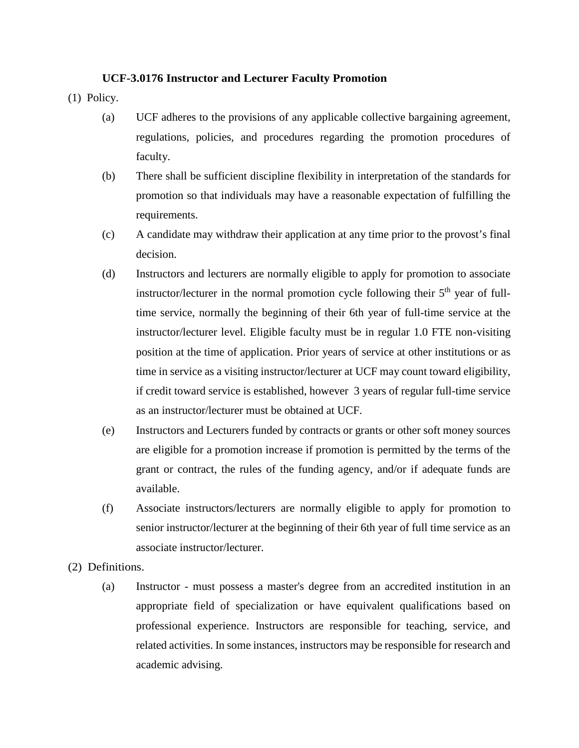## **UCF-3.0176 Instructor and Lecturer Faculty Promotion**

(1) Policy.

- (a) UCF adheres to the provisions of any applicable collective bargaining agreement, regulations, policies, and procedures regarding the promotion procedures of faculty.
- (b) There shall be sufficient discipline flexibility in interpretation of the standards for promotion so that individuals may have a reasonable expectation of fulfilling the requirements.
- (c) A candidate may withdraw their application at any time prior to the provost's final decision.
- (d) Instructors and lecturers are normally eligible to apply for promotion to associate instructor/lecturer in the normal promotion cycle following their  $5<sup>th</sup>$  year of fulltime service, normally the beginning of their 6th year of full-time service at the instructor/lecturer level. Eligible faculty must be in regular 1.0 FTE non-visiting position at the time of application. Prior years of service at other institutions or as time in service as a visiting instructor/lecturer at UCF may count toward eligibility, if credit toward service is established, however 3 years of regular full-time service as an instructor/lecturer must be obtained at UCF.
- (e) Instructors and Lecturers funded by contracts or grants or other soft money sources are eligible for a promotion increase if promotion is permitted by the terms of the grant or contract, the rules of the funding agency, and/or if adequate funds are available.
- (f) Associate instructors/lecturers are normally eligible to apply for promotion to senior instructor/lecturer at the beginning of their 6th year of full time service as an associate instructor/lecturer.
- (2) Definitions.
	- (a) Instructor must possess a master's degree from an accredited institution in an appropriate field of specialization or have equivalent qualifications based on professional experience. Instructors are responsible for teaching, service, and related activities. In some instances, instructors may be responsible for research and academic advising.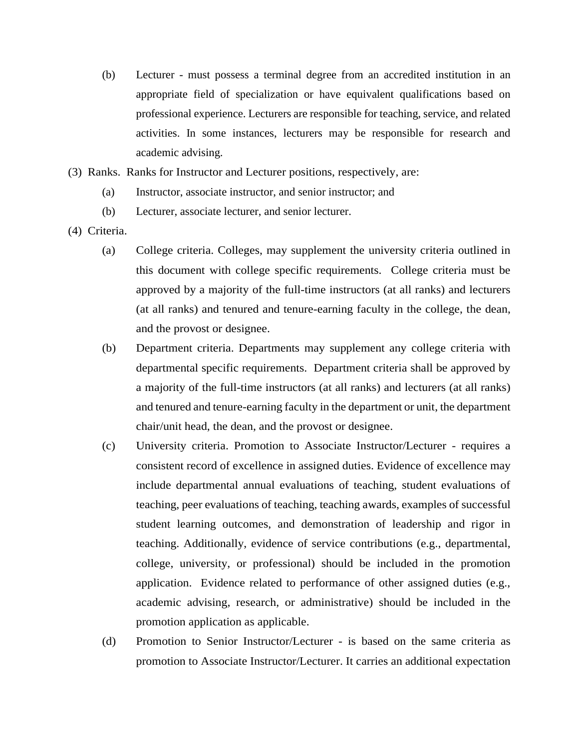- (b) Lecturer must possess a terminal degree from an accredited institution in an appropriate field of specialization or have equivalent qualifications based on professional experience. Lecturers are responsible for teaching, service, and related activities. In some instances, lecturers may be responsible for research and academic advising.
- (3) Ranks. Ranks for Instructor and Lecturer positions, respectively, are:
	- (a) Instructor, associate instructor, and senior instructor; and
	- (b) Lecturer, associate lecturer, and senior lecturer.
- (4) Criteria.
	- (a) College criteria. Colleges, may supplement the university criteria outlined in this document with college specific requirements. College criteria must be approved by a majority of the full-time instructors (at all ranks) and lecturers (at all ranks) and tenured and tenure-earning faculty in the college, the dean, and the provost or designee.
	- (b) Department criteria. Departments may supplement any college criteria with departmental specific requirements. Department criteria shall be approved by a majority of the full-time instructors (at all ranks) and lecturers (at all ranks) and tenured and tenure-earning faculty in the department or unit, the department chair/unit head, the dean, and the provost or designee.
	- (c) University criteria. Promotion to Associate Instructor/Lecturer requires a consistent record of excellence in assigned duties. Evidence of excellence may include departmental annual evaluations of teaching, student evaluations of teaching, peer evaluations of teaching, teaching awards, examples of successful student learning outcomes, and demonstration of leadership and rigor in teaching. Additionally, evidence of service contributions (e.g., departmental, college, university, or professional) should be included in the promotion application. Evidence related to performance of other assigned duties (e.g., academic advising, research, or administrative) should be included in the promotion application as applicable.
	- (d) Promotion to Senior Instructor/Lecturer is based on the same criteria as promotion to Associate Instructor/Lecturer. It carries an additional expectation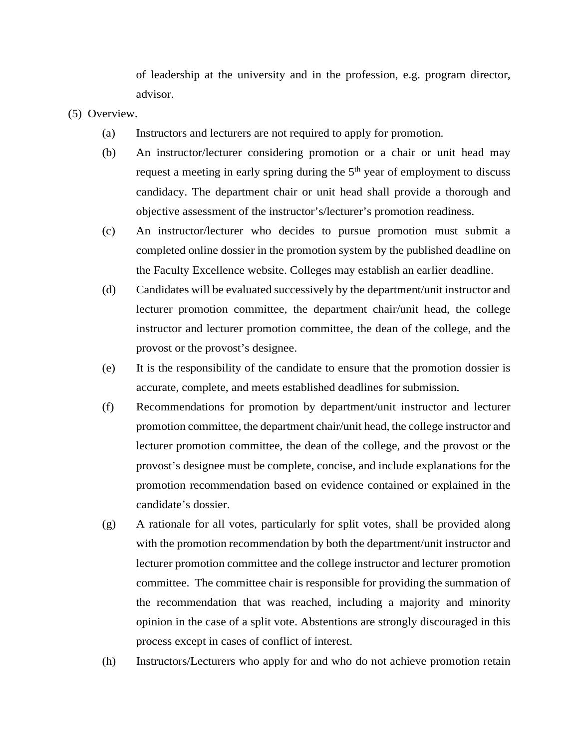of leadership at the university and in the profession, e.g. program director, advisor.

- (5) Overview.
	- (a) Instructors and lecturers are not required to apply for promotion.
	- (b) An instructor/lecturer considering promotion or a chair or unit head may request a meeting in early spring during the  $5<sup>th</sup>$  year of employment to discuss candidacy. The department chair or unit head shall provide a thorough and objective assessment of the instructor's/lecturer's promotion readiness.
	- (c) An instructor/lecturer who decides to pursue promotion must submit a completed online dossier in the promotion system by the published deadline on the Faculty Excellence website. Colleges may establish an earlier deadline.
	- (d) Candidates will be evaluated successively by the department/unit instructor and lecturer promotion committee, the department chair/unit head, the college instructor and lecturer promotion committee, the dean of the college, and the provost or the provost's designee.
	- (e) It is the responsibility of the candidate to ensure that the promotion dossier is accurate, complete, and meets established deadlines for submission.
	- (f) Recommendations for promotion by department/unit instructor and lecturer promotion committee, the department chair/unit head, the college instructor and lecturer promotion committee, the dean of the college, and the provost or the provost's designee must be complete, concise, and include explanations for the promotion recommendation based on evidence contained or explained in the candidate's dossier.
	- (g) A rationale for all votes, particularly for split votes, shall be provided along with the promotion recommendation by both the department/unit instructor and lecturer promotion committee and the college instructor and lecturer promotion committee. The committee chair is responsible for providing the summation of the recommendation that was reached, including a majority and minority opinion in the case of a split vote. Abstentions are strongly discouraged in this process except in cases of conflict of interest.
	- (h) Instructors/Lecturers who apply for and who do not achieve promotion retain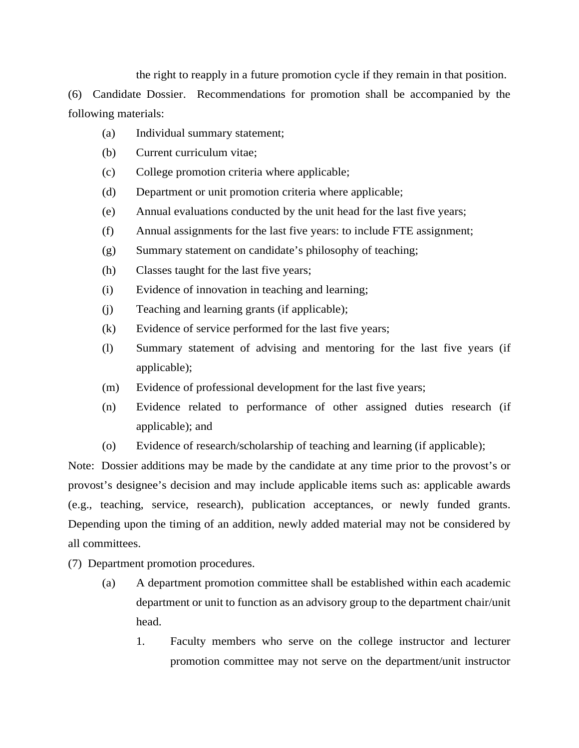the right to reapply in a future promotion cycle if they remain in that position.

(6) Candidate Dossier. Recommendations for promotion shall be accompanied by the following materials:

- (a) Individual summary statement;
- (b) Current curriculum vitae;
- (c) College promotion criteria where applicable;
- (d) Department or unit promotion criteria where applicable;
- (e) Annual evaluations conducted by the unit head for the last five years;
- (f) Annual assignments for the last five years: to include FTE assignment;
- (g) Summary statement on candidate's philosophy of teaching;
- (h) Classes taught for the last five years;
- (i) Evidence of innovation in teaching and learning;
- (j) Teaching and learning grants (if applicable);
- (k) Evidence of service performed for the last five years;
- (l) Summary statement of advising and mentoring for the last five years (if applicable);
- (m) Evidence of professional development for the last five years;
- (n) Evidence related to performance of other assigned duties research (if applicable); and
- (o) Evidence of research/scholarship of teaching and learning (if applicable);

Note: Dossier additions may be made by the candidate at any time prior to the provost's or provost's designee's decision and may include applicable items such as: applicable awards (e.g., teaching, service, research), publication acceptances, or newly funded grants. Depending upon the timing of an addition, newly added material may not be considered by all committees.

(7) Department promotion procedures.

- (a) A department promotion committee shall be established within each academic department or unit to function as an advisory group to the department chair/unit head.
	- 1. Faculty members who serve on the college instructor and lecturer promotion committee may not serve on the department/unit instructor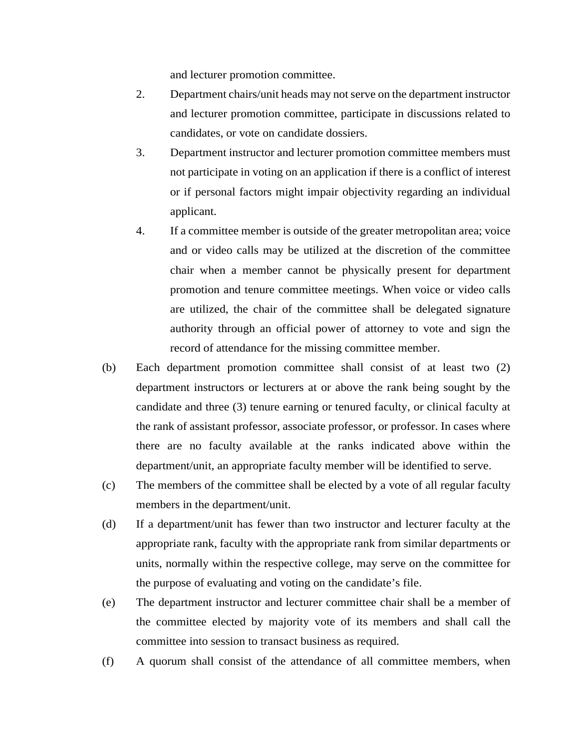and lecturer promotion committee.

- 2. Department chairs/unit heads may not serve on the department instructor and lecturer promotion committee, participate in discussions related to candidates, or vote on candidate dossiers.
- 3. Department instructor and lecturer promotion committee members must not participate in voting on an application if there is a conflict of interest or if personal factors might impair objectivity regarding an individual applicant.
- 4. If a committee member is outside of the greater metropolitan area; voice and or video calls may be utilized at the discretion of the committee chair when a member cannot be physically present for department promotion and tenure committee meetings. When voice or video calls are utilized, the chair of the committee shall be delegated signature authority through an official power of attorney to vote and sign the record of attendance for the missing committee member.
- (b) Each department promotion committee shall consist of at least two (2) department instructors or lecturers at or above the rank being sought by the candidate and three (3) tenure earning or tenured faculty, or clinical faculty at the rank of assistant professor, associate professor, or professor. In cases where there are no faculty available at the ranks indicated above within the department/unit, an appropriate faculty member will be identified to serve.
- (c) The members of the committee shall be elected by a vote of all regular faculty members in the department/unit.
- (d) If a department/unit has fewer than two instructor and lecturer faculty at the appropriate rank, faculty with the appropriate rank from similar departments or units, normally within the respective college, may serve on the committee for the purpose of evaluating and voting on the candidate's file.
- (e) The department instructor and lecturer committee chair shall be a member of the committee elected by majority vote of its members and shall call the committee into session to transact business as required.
- (f) A quorum shall consist of the attendance of all committee members, when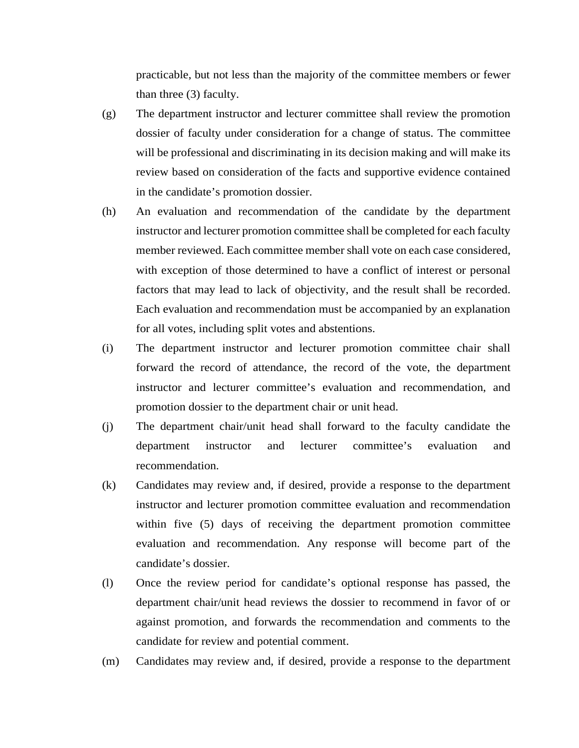practicable, but not less than the majority of the committee members or fewer than three (3) faculty.

- (g) The department instructor and lecturer committee shall review the promotion dossier of faculty under consideration for a change of status. The committee will be professional and discriminating in its decision making and will make its review based on consideration of the facts and supportive evidence contained in the candidate's promotion dossier.
- (h) An evaluation and recommendation of the candidate by the department instructor and lecturer promotion committee shall be completed for each faculty member reviewed. Each committee member shall vote on each case considered, with exception of those determined to have a conflict of interest or personal factors that may lead to lack of objectivity, and the result shall be recorded. Each evaluation and recommendation must be accompanied by an explanation for all votes, including split votes and abstentions.
- (i) The department instructor and lecturer promotion committee chair shall forward the record of attendance, the record of the vote, the department instructor and lecturer committee's evaluation and recommendation, and promotion dossier to the department chair or unit head.
- (j) The department chair/unit head shall forward to the faculty candidate the department instructor and lecturer committee's evaluation and recommendation.
- (k) Candidates may review and, if desired, provide a response to the department instructor and lecturer promotion committee evaluation and recommendation within five (5) days of receiving the department promotion committee evaluation and recommendation. Any response will become part of the candidate's dossier.
- (l) Once the review period for candidate's optional response has passed, the department chair/unit head reviews the dossier to recommend in favor of or against promotion, and forwards the recommendation and comments to the candidate for review and potential comment.
- (m) Candidates may review and, if desired, provide a response to the department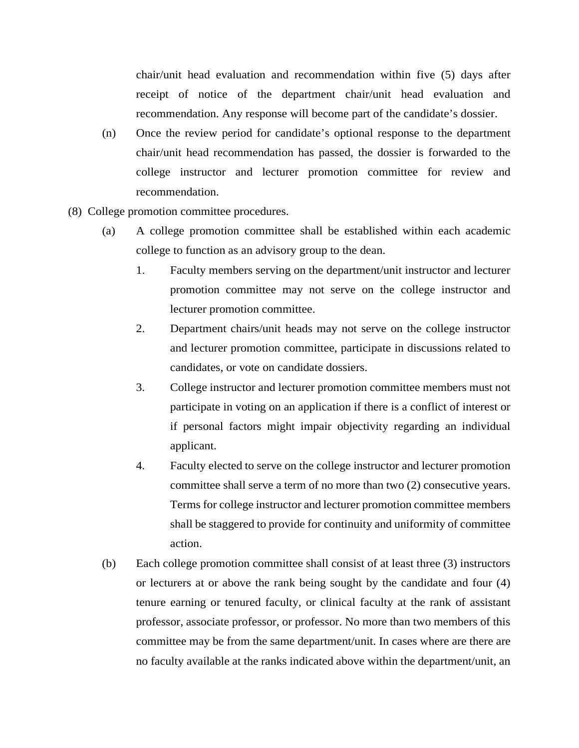chair/unit head evaluation and recommendation within five (5) days after receipt of notice of the department chair/unit head evaluation and recommendation. Any response will become part of the candidate's dossier.

- (n) Once the review period for candidate's optional response to the department chair/unit head recommendation has passed, the dossier is forwarded to the college instructor and lecturer promotion committee for review and recommendation.
- (8) College promotion committee procedures.
	- (a) A college promotion committee shall be established within each academic college to function as an advisory group to the dean.
		- 1. Faculty members serving on the department/unit instructor and lecturer promotion committee may not serve on the college instructor and lecturer promotion committee.
		- 2. Department chairs/unit heads may not serve on the college instructor and lecturer promotion committee, participate in discussions related to candidates, or vote on candidate dossiers.
		- 3. College instructor and lecturer promotion committee members must not participate in voting on an application if there is a conflict of interest or if personal factors might impair objectivity regarding an individual applicant.
		- 4. Faculty elected to serve on the college instructor and lecturer promotion committee shall serve a term of no more than two (2) consecutive years. Terms for college instructor and lecturer promotion committee members shall be staggered to provide for continuity and uniformity of committee action.
	- (b) Each college promotion committee shall consist of at least three (3) instructors or lecturers at or above the rank being sought by the candidate and four (4) tenure earning or tenured faculty, or clinical faculty at the rank of assistant professor, associate professor, or professor. No more than two members of this committee may be from the same department/unit. In cases where are there are no faculty available at the ranks indicated above within the department/unit, an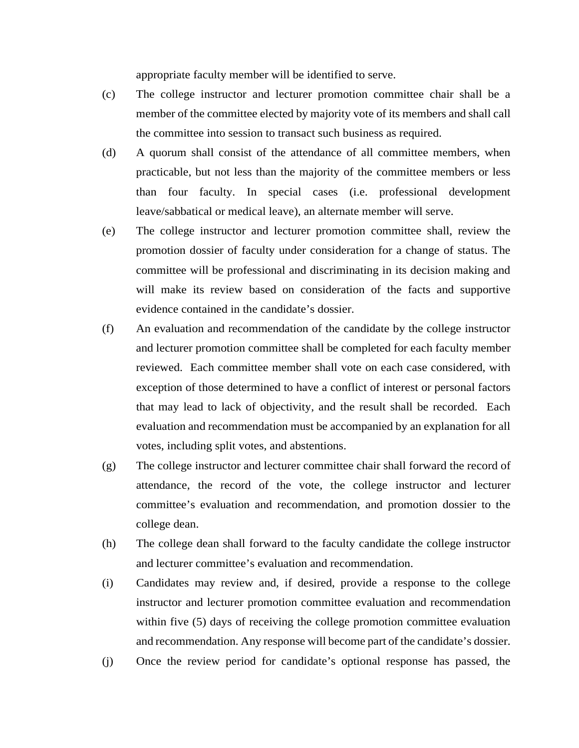appropriate faculty member will be identified to serve.

- (c) The college instructor and lecturer promotion committee chair shall be a member of the committee elected by majority vote of its members and shall call the committee into session to transact such business as required.
- (d) A quorum shall consist of the attendance of all committee members, when practicable, but not less than the majority of the committee members or less than four faculty. In special cases (i.e. professional development leave/sabbatical or medical leave), an alternate member will serve.
- (e) The college instructor and lecturer promotion committee shall, review the promotion dossier of faculty under consideration for a change of status. The committee will be professional and discriminating in its decision making and will make its review based on consideration of the facts and supportive evidence contained in the candidate's dossier.
- (f) An evaluation and recommendation of the candidate by the college instructor and lecturer promotion committee shall be completed for each faculty member reviewed. Each committee member shall vote on each case considered, with exception of those determined to have a conflict of interest or personal factors that may lead to lack of objectivity, and the result shall be recorded. Each evaluation and recommendation must be accompanied by an explanation for all votes, including split votes, and abstentions.
- (g) The college instructor and lecturer committee chair shall forward the record of attendance, the record of the vote, the college instructor and lecturer committee's evaluation and recommendation, and promotion dossier to the college dean.
- (h) The college dean shall forward to the faculty candidate the college instructor and lecturer committee's evaluation and recommendation.
- (i) Candidates may review and, if desired, provide a response to the college instructor and lecturer promotion committee evaluation and recommendation within five (5) days of receiving the college promotion committee evaluation and recommendation. Any response will become part of the candidate's dossier.
- (j) Once the review period for candidate's optional response has passed, the